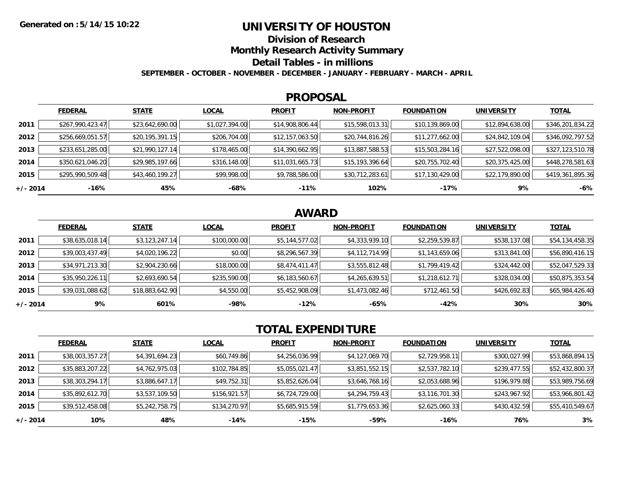### **UNIVERSITY OF HOUSTON**

**Division of Research**

**Monthly Research Activity Summary**

**Detail Tables - in millions**

**SEPTEMBER - OCTOBER - NOVEMBER - DECEMBER - JANUARY - FEBRUARY - MARCH - APRIL**

#### **PROPOSAL**

|            | <b>FEDERAL</b>   | <b>STATE</b>    | <b>LOCAL</b>   | <b>PROFIT</b>   | <b>NON-PROFIT</b> | <b>FOUNDATION</b> | <b>UNIVERSITY</b> | <u>TOTAL</u>     |
|------------|------------------|-----------------|----------------|-----------------|-------------------|-------------------|-------------------|------------------|
| 2011       | \$267,990,423.47 | \$23,642,690.00 | \$1,027,394.00 | \$14,908,806.44 | \$15,598,013.31   | \$10,139,869.00   | \$12,894,638.00   | \$346,201,834.22 |
| 2012       | \$256,669,051.57 | \$20,195,391.15 | \$206,704.00   | \$12,157,063.50 | \$20,744,816.26   | \$11,277,662.00   | \$24,842,109.04   | \$346,092,797.52 |
| 2013       | \$233,651,285.00 | \$21,990,127.14 | \$178,465.00   | \$14,390,662.95 | \$13,887,588.53   | \$15,503,284.16   | \$27,522,098.00   | \$327,123,510.78 |
| 2014       | \$350,621,046.20 | \$29,985,197.66 | \$316,148.00   | \$11,031,665.73 | \$15,193,396.64   | \$20,755,702.40   | \$20,375,425.00   | \$448,278,581.63 |
| 2015       | \$295,990,509.48 | \$43,460,199.27 | \$99,998.00    | \$9,788,586.00  | \$30,712,283.61   | \$17,130,429.00   | \$22,179,890.00   | \$419,361,895.36 |
| $+/- 2014$ | -16%             | 45%             | -68%           | $-11%$          | 102%              | $-17%$            | 9%                | $-6%$            |

# **AWARD**

|            | <b>FEDERAL</b>  | <b>STATE</b>    | <b>LOCAL</b> | <b>PROFIT</b>  | <b>NON-PROFIT</b> | <b>FOUNDATION</b> | <b>UNIVERSITY</b> | <b>TOTAL</b>    |
|------------|-----------------|-----------------|--------------|----------------|-------------------|-------------------|-------------------|-----------------|
| 2011       | \$38,635,018.14 | \$3,123,247.14  | \$100,000.00 | \$5,144,577.02 | \$4,333,939.10    | \$2,259,539.87    | \$538,137.08      | \$54,134,458.35 |
| 2012       | \$39,003,437.49 | \$4,020,196.22  | \$0.00       | \$8,296,567.39 | \$4,112,714.99    | \$1,143,659.06    | \$313,841.00      | \$56,890,416.15 |
| 2013       | \$34,971,213.30 | \$2,904,230.66  | \$18,000.00  | \$8,474,411.47 | \$3,555,812.48    | \$1,799,419.42    | \$324,442.00      | \$52,047,529.33 |
| 2014       | \$35,950,226.11 | \$2,693,690.54  | \$235,590.00 | \$6,183,560.67 | \$4,265,639.51    | \$1,218,612.71    | \$328,034.00      | \$50,875,353.54 |
| 2015       | \$39,031,088.62 | \$18,883,642.90 | \$4,550.00   | \$5,452,908.09 | \$1,473,082.46    | \$712,461.50      | \$426,692.83      | \$65,984,426.40 |
| $+/- 2014$ | 9%              | 601%            | -98%         | $-12%$         | $-65%$            | $-42%$            | 30%               | 30%             |

# **TOTAL EXPENDITURE**

|            | <b>FEDERAL</b>  | <b>STATE</b>   | <b>LOCAL</b> | <b>PROFIT</b>  | <b>NON-PROFIT</b> | <b>FOUNDATION</b> | <b>UNIVERSITY</b> | <b>TOTAL</b>    |
|------------|-----------------|----------------|--------------|----------------|-------------------|-------------------|-------------------|-----------------|
| 2011       | \$38,003,357.27 | \$4,391,694.23 | \$60,749.86  | \$4,256,036.99 | \$4,127,069.70    | \$2,729,958.11    | \$300,027.99      | \$53,868,894.15 |
| 2012       | \$35,883,207.22 | \$4,762,975.03 | \$102,784.85 | \$5,055,021.47 | \$3,851,552.15    | \$2,537,782.10    | \$239,477.55      | \$52,432,800.37 |
| 2013       | \$38,303,294.17 | \$3,886,647.17 | \$49,752.31  | \$5,852,626.04 | \$3,646,768.16    | \$2,053,688.96    | \$196,979.88      | \$53,989,756.69 |
| 2014       | \$35,892,612.70 | \$3,537,109.50 | \$156,921.57 | \$6,724,729.00 | \$4,294,759.43    | \$3,116,701.30    | \$243,967.92      | \$53,966,801.42 |
| 2015       | \$39,512,458.08 | \$5,242,758.75 | \$134,270.97 | \$5,685,915.59 | \$1,779,653.36    | \$2,625,060.33    | \$430,432.59      | \$55,410,549.67 |
| $+/- 2014$ | 10%             | 48%            | -14%         | $-15%$         | $-59%$            | $-16%$            | 76%               | 3%              |